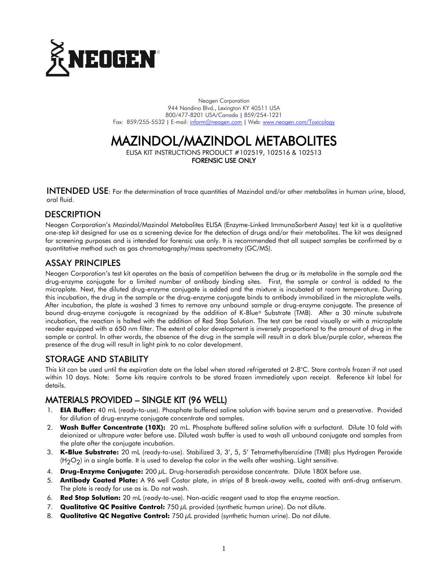

Neogen Corporation 944 Nandino Blvd., Lexington KY 40511 USA 800/477-8201 USA/Canada | 859/254-1221 Fax: 859/255-5532 | E-mail[: inform@neogen.com](mailto:inform@neogen.com) | Web[: www.neogen.com/Toxicology](http://www.neogen.com/Toxicology)

# MAZINDOL/MAZINDOL METABOLITES

ELISA KIT INSTRUCTIONS PRODUCT #102519, 102516 & 102513 FORENSIC USE ONLY

INTENDED USE: For the determination of trace quantities of Mazindol and/or other metabolites in human urine, blood, oral fluid.

## **DESCRIPTION**

Neogen Corporation's Mazindol/Mazindol Metabolites ELISA (Enzyme-Linked ImmunoSorbent Assay) test kit is a qualitative one-step kit designed for use as a screening device for the detection of drugs and/or their metabolites. The kit was designed for screening purposes and is intended for forensic use only. It is recommended that all suspect samples be confirmed by a quantitative method such as gas chromatography/mass spectrometry (GC/MS).

## ASSAY PRINCIPLES

Neogen Corporation's test kit operates on the basis of competition between the drug or its metabolite in the sample and the drug-enzyme conjugate for a limited number of antibody binding sites. First, the sample or control is added to the microplate. Next, the diluted drug-enzyme conjugate is added and the mixture is incubated at room temperature. During this incubation, the drug in the sample or the drug-enzyme conjugate binds to antibody immobilized in the microplate wells. After incubation, the plate is washed 3 times to remove any unbound sample or drug-enzyme conjugate. The presence of bound drug-enzyme conjugate is recognized by the addition of K-Blue® Substrate (TMB). After a 30 minute substrate incubation, the reaction is halted with the addition of Red Stop Solution. The test can be read visually or with a microplate reader equipped with a 650 nm filter. The extent of color development is inversely proportional to the amount of drug in the sample or control. In other words, the absence of the drug in the sample will result in a dark blue/purple color, whereas the presence of the drug will result in light pink to no color development.

## STORAGE AND STABILITY

This kit can be used until the expiration date on the label when stored refrigerated at 2-8°C. Store controls frozen if not used within 10 days. Note: Some kits require controls to be stored frozen immediately upon receipt. Reference kit label for details.

# MATERIALS PROVIDED – SINGLE KIT (96 WELL)

- 1. **EIA Buffer:** 40 mL (ready-to-use). Phosphate buffered saline solution with bovine serum and a preservative. Provided for dilution of drug-enzyme conjugate concentrate and samples.
- 2. **Wash Buffer Concentrate (10X):** 20 mL. Phosphate buffered saline solution with a surfactant. Dilute 10 fold with deionized or ultrapure water before use. Diluted wash buffer is used to wash all unbound conjugate and samples from the plate after the conjugate incubation.
- 3. **K-Blue Substrate:** 20 mL (ready-to-use). Stabilized 3, 3', 5, 5' Tetramethylbenzidine (TMB) plus Hydrogen Peroxide  $(H<sub>2</sub>O<sub>2</sub>)$  in a single bottle. It is used to develop the color in the wells after washing. Light sensitive.
- 4. **Drug-Enzyme Conjugate:** 200 µL. Drug-horseradish peroxidase concentrate. Dilute 180X before use.
- 5. **Antibody Coated Plate:** A 96 well Costar plate, in strips of 8 break-away wells, coated with anti-drug antiserum. The plate is ready for use as is. Do not wash.
- 6. **Red Stop Solution:** 20 mL (ready-to-use). Non-acidic reagent used to stop the enzyme reaction.
- 7. **Qualitative QC Positive Control:** 750 µL provided (synthetic human urine). Do not dilute.
- 8. **Qualitative QC Negative Control:** 750 µL provided (synthetic human urine). Do not dilute.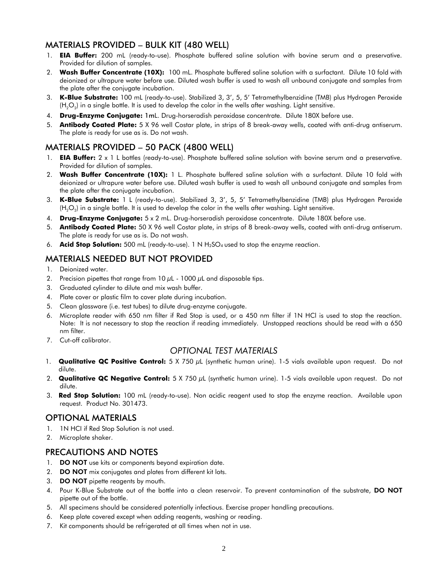# MATERIALS PROVIDED – BULK KIT (480 WELL)

- 1. **EIA Buffer:** 200 mL (ready-to-use). Phosphate buffered saline solution with bovine serum and a preservative. Provided for dilution of samples.
- 2. **Wash Buffer Concentrate (10X):** 100 mL. Phosphate buffered saline solution with a surfactant. Dilute 10 fold with deionized or ultrapure water before use. Diluted wash buffer is used to wash all unbound conjugate and samples from the plate after the conjugate incubation.
- 3. **K-Blue Substrate:** 100 mL (ready-to-use). Stabilized 3, 3', 5, 5' Tetramethylbenzidine (TMB) plus Hydrogen Peroxide (H<sub>2</sub>O<sub>2</sub>) in a single bottle. It is used to develop the color in the wells after washing. Light sensitive.
- 4. **Drug-Enzyme Conjugate:** 1mL. Drug-horseradish peroxidase concentrate. Dilute 180X before use.
- 5. **Antibody Coated Plate:** 5 X 96 well Costar plate, in strips of 8 break-away wells, coated with anti-drug antiserum. The plate is ready for use as is. Do not wash.

## MATERIALS PROVIDED – 50 PACK (4800 WELL)

- 1. **EIA Buffer:** 2 x 1 L bottles (ready-to-use). Phosphate buffered saline solution with bovine serum and a preservative. Provided for dilution of samples.
- 2. **Wash Buffer Concentrate (10X):** 1 L. Phosphate buffered saline solution with a surfactant. Dilute 10 fold with deionized or ultrapure water before use. Diluted wash buffer is used to wash all unbound conjugate and samples from the plate after the conjugate incubation.
- 3. **K-Blue Substrate:** 1 L (ready-to-use). Stabilized 3, 3', 5, 5' Tetramethylbenzidine (TMB) plus Hydrogen Peroxide (H $_{2}$ O $_{2}$ ) in a single bottle. It is used to develop the color in the wells after washing. Light sensitive.
- 4. **Drug-Enzyme Conjugate:** 5 x 2 mL. Drug-horseradish peroxidase concentrate. Dilute 180X before use.
- 5. **Antibody Coated Plate:** 50 X 96 well Costar plate, in strips of 8 break-away wells, coated with anti-drug antiserum. The plate is ready for use as is. Do not wash.
- 6. **Acid Stop Solution:** 500 mL (ready-to-use). 1 N H2SO<sup>4</sup> used to stop the enzyme reaction.

## MATERIALS NEEDED BUT NOT PROVIDED

- 1. Deionized water.
- 2. Precision pipettes that range from  $10 \mu L 1000 \mu L$  and disposable tips.
- 3. Graduated cylinder to dilute and mix wash buffer.
- 4. Plate cover or plastic film to cover plate during incubation.
- 5. Clean glassware (i.e. test tubes) to dilute drug-enzyme conjugate.
- 6. Microplate reader with 650 nm filter if Red Stop is used, or a 450 nm filter if 1N HCl is used to stop the reaction. Note: It is not necessary to stop the reaction if reading immediately. Unstopped reactions should be read with a 650 nm filter.
- 7. Cut-off calibrator.

## *OPTIONAL TEST MATERIALS*

- 1. **Qualitative QC Positive Control:** 5 X 750 µL (synthetic human urine). 1-5 vials available upon request. Do not dilute.
- 2. **Qualitative QC Negative Control:** 5 X 750 µL (synthetic human urine). 1-5 vials available upon request. Do not dilute.
- 3. **Red Stop Solution:** 100 mL (ready-to-use). Non acidic reagent used to stop the enzyme reaction. Available upon request. Product No. 301473.

## OPTIONAL MATERIALS

- 1. 1N HCI if Red Stop Solution is not used.
- 2. Microplate shaker.

## PRECAUTIONS AND NOTES

- 1. DO NOT use kits or components beyond expiration date.
- 2. **DO NOT** mix conjugates and plates from different kit lots.
- 3. DO NOT pipette reagents by mouth.
- 4. Pour K-Blue Substrate out of the bottle into a clean reservoir. To prevent contamination of the substrate, DO NOT pipette out of the bottle.
- 5. All specimens should be considered potentially infectious. Exercise proper handling precautions.
- 6. Keep plate covered except when adding reagents, washing or reading.
- 7. Kit components should be refrigerated at all times when not in use.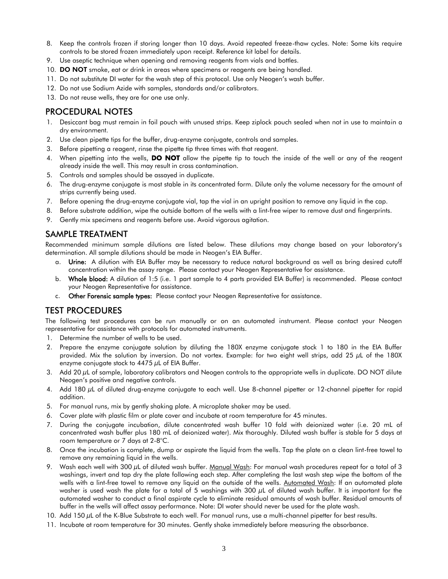- 8. Keep the controls frozen if storing longer than 10 days. Avoid repeated freeze-thaw cycles. Note: Some kits require controls to be stored frozen immediately upon receipt. Reference kit label for details.
- 9. Use aseptic technique when opening and removing reagents from vials and bottles.
- 10. DO NOT smoke, eat or drink in areas where specimens or reagents are being handled.
- 11. Do not substitute DI water for the wash step of this protocol. Use only Neogen's wash buffer.
- 12. Do not use Sodium Azide with samples, standards and/or calibrators.
- 13. Do not reuse wells, they are for one use only.

## PROCEDURAL NOTES

- 1. Desiccant bag must remain in foil pouch with unused strips. Keep ziplock pouch sealed when not in use to maintain a dry environment.
- 2. Use clean pipette tips for the buffer, drug-enzyme conjugate, controls and samples.
- 3. Before pipetting a reagent, rinse the pipette tip three times with that reagent.
- 4. When pipetting into the wells, **DO NOT** allow the pipette tip to touch the inside of the well or any of the reagent already inside the well. This may result in cross contamination.
- 5. Controls and samples should be assayed in duplicate.
- 6. The drug-enzyme conjugate is most stable in its concentrated form. Dilute only the volume necessary for the amount of strips currently being used.
- 7. Before opening the drug-enzyme conjugate vial, tap the vial in an upright position to remove any liquid in the cap.
- 8. Before substrate addition, wipe the outside bottom of the wells with a lint-free wiper to remove dust and fingerprints.
- 9. Gently mix specimens and reagents before use. Avoid vigorous agitation.

## SAMPLE TREATMENT

Recommended minimum sample dilutions are listed below. These dilutions may change based on your laboratory's determination. All sample dilutions should be made in Neogen's EIA Buffer.

- a. Urine: A dilution with EIA Buffer may be necessary to reduce natural background as well as bring desired cutoff concentration within the assay range. Please contact your Neogen Representative for assistance.
- b. Whole blood: A dilution of 1:5 (i.e. 1 part sample to 4 parts provided EIA Buffer) is recommended. Please contact your Neogen Representative for assistance.
- c. Other Forensic sample types: Please contact your Neogen Representative for assistance.

## TEST PROCEDURES

The following test procedures can be run manually or on an automated instrument. Please contact your Neogen representative for assistance with protocols for automated instruments.

- 1. Determine the number of wells to be used.
- 2. Prepare the enzyme conjugate solution by diluting the 180X enzyme conjugate stock 1 to 180 in the EIA Buffer provided. Mix the solution by inversion. Do not vortex. Example: for two eight well strips, add 25 µL of the 180X enzyme conjugate stock to  $4475 \mu$ L of EIA Buffer.
- 3. Add 20 µL of sample, laboratory calibrators and Neogen controls to the appropriate wells in duplicate. DO NOT dilute Neogen's positive and negative controls.
- 4. Add 180 µL of diluted drug-enzyme conjugate to each well. Use 8-channel pipetter or 12-channel pipetter for rapid addition.
- 5. For manual runs, mix by gently shaking plate. A microplate shaker may be used.
- 6. Cover plate with plastic film or plate cover and incubate at room temperature for 45 minutes.
- 7. During the conjugate incubation, dilute concentrated wash buffer 10 fold with deionized water (i.e. 20 mL of concentrated wash buffer plus 180 mL of deionized water). Mix thoroughly. Diluted wash buffer is stable for 5 days at room temperature or 7 days at 2-8°C.
- 8. Once the incubation is complete, dump or aspirate the liquid from the wells. Tap the plate on a clean lint-free towel to remove any remaining liquid in the wells.
- 9. Wash each well with 300 µL of diluted wash buffer. Manual Wash: For manual wash procedures repeat for a total of 3 washings, invert and tap dry the plate following each step. After completing the last wash step wipe the bottom of the wells with a lint-free towel to remove any liquid on the outside of the wells. Automated Wash: If an automated plate washer is used wash the plate for a total of 5 washings with 300 µL of diluted wash buffer. It is important for the automated washer to conduct a final aspirate cycle to eliminate residual amounts of wash buffer. Residual amounts of buffer in the wells will affect assay performance. Note: DI water should never be used for the plate wash.
- 10. Add 150 µL of the K-Blue Substrate to each well. For manual runs, use a multi-channel pipetter for best results.
- 11. Incubate at room temperature for 30 minutes. Gently shake immediately before measuring the absorbance.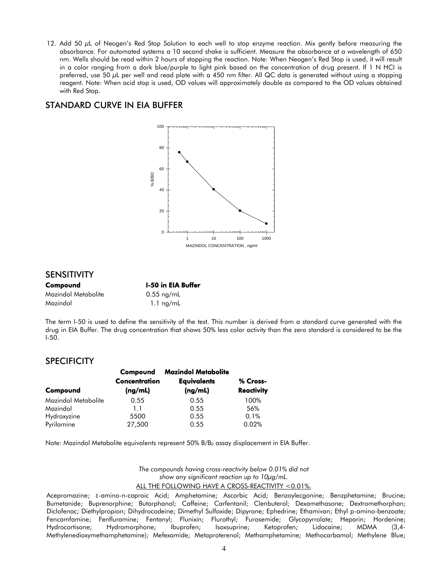12. Add 50  $\mu$ L of Neogen's Red Stop Solution to each well to stop enzyme reaction. Mix gently before measuring the absorbance. For automated systems a 10 second shake is sufficient. Measure the absorbance at a wavelength of 650 nm. Wells should be read within 2 hours of stopping the reaction. Note: When Neogen's Red Stop is used, it will result in a color ranging from a dark blue/purple to light pink based on the concentration of drug present. If 1 N HCI is preferred, use 50 µL per well and read plate with a 450 nm filter. All QC data is generated without using a stopping reagent. Note: When acid stop is used, OD values will approximately double as compared to the OD values obtained with Red Stop.

# STANDARD CURVE IN EIA BUFFER



## SENSITIVITY

| Compound            | <b>I-50 in EIA Buffer</b> |  |
|---------------------|---------------------------|--|
| Mazindol Metabolite | $0.55$ ng/mL              |  |
| Mazindol            | $1.1 \text{ ng/mL}$       |  |

The term I-50 is used to define the sensitivity of the test. This number is derived from a standard curve generated with the drug in EIA Buffer. The drug concentration that shows 50% less color activity than the zero standard is considered to be the I-50.

## **SPECIFICITY**

|                     | Compound      | <b>Mazindol Metabolite</b> |                   |
|---------------------|---------------|----------------------------|-------------------|
|                     | Concentration | <b>Equivalents</b>         | % Cross-          |
| Compound            | (ng/mL)       | (ng/mL)                    | <b>Reactivity</b> |
| Mazindol Metabolite | 0.55          | 0.55                       | 100%              |
| Mazindol            | 1.1           | 0.55                       | 56%               |
| Hydroxyzine         | 5500          | 0.55                       | 0.1%              |
| Pyrilamine          | 27,500        | 0.55                       | 0.02%             |

Note: Mazindol Metabolite equivalents represent 50% B/B<sup>0</sup> assay displacement in EIA Buffer.

*The compounds having cross-reactivity below 0.01% did not show any significant reaction up to 10µg/mL.* ALL THE FOLLOWING HAVE A CROSS-REACTIVITY <0.01%.

Acepromazine; ε-amino-n-caproic Acid; Amphetamine; Ascorbic Acid; Benzoylecgonine; Benzphetamine; Brucine; Bumetanide; Buprenorphine; Butorphanol; Caffeine; Carfentanil; Clenbuterol; Dexamethasone; Dextromethorphan; Diclofenac; Diethylpropion; Dihydrocodeine; Dimethyl Sulfoxide; Dipyrone; Ephedrine; Ethamivan; Ethyl p-amino-benzoate; Fencamfamine; Fenfluramine; Fentanyl; Flunixin; Flurothyl; Furosemide; Glycopyrrolate; Heparin; Hordenine; Hydrocortisone; Hydromorphone; Ibuprofen; Isoxsuprine; Ketoprofen; Lidocaine; MDMA (3,4- Methylenedioxymethamphetamine); Mefexamide; Metaproterenol; Methamphetamine; Methocarbamol; Methylene Blue;